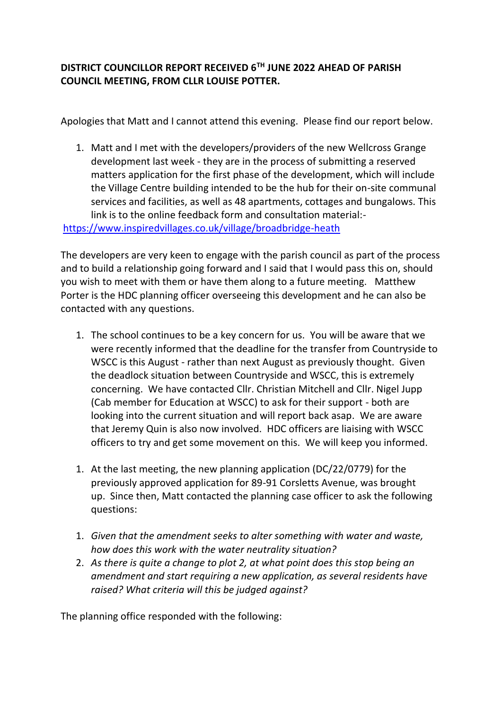## **DISTRICT COUNCILLOR REPORT RECEIVED 6TH JUNE 2022 AHEAD OF PARISH COUNCIL MEETING, FROM CLLR LOUISE POTTER.**

Apologies that Matt and I cannot attend this evening. Please find our report below.

1. Matt and I met with the developers/providers of the new Wellcross Grange development last week - they are in the process of submitting a reserved matters application for the first phase of the development, which will include the Village Centre building intended to be the hub for their on-site communal services and facilities, as well as 48 apartments, cottages and bungalows. This link is to the online feedback form and consultation material:-

<https://www.inspiredvillages.co.uk/village/broadbridge-heath>

The developers are very keen to engage with the parish council as part of the process and to build a relationship going forward and I said that I would pass this on, should you wish to meet with them or have them along to a future meeting. Matthew Porter is the HDC planning officer overseeing this development and he can also be contacted with any questions.

- 1. The school continues to be a key concern for us. You will be aware that we were recently informed that the deadline for the transfer from Countryside to WSCC is this August - rather than next August as previously thought. Given the deadlock situation between Countryside and WSCC, this is extremely concerning. We have contacted Cllr. Christian Mitchell and Cllr. Nigel Jupp (Cab member for Education at WSCC) to ask for their support - both are looking into the current situation and will report back asap. We are aware that Jeremy Quin is also now involved. HDC officers are liaising with WSCC officers to try and get some movement on this. We will keep you informed.
- 1. At the last meeting, the new planning application (DC/22/0779) for the previously approved application for 89-91 Corsletts Avenue, was brought up. Since then, Matt contacted the planning case officer to ask the following questions:
- 1. *Given that the amendment seeks to alter something with water and waste, how does this work with the water neutrality situation?*
- 2. *As there is quite a change to plot 2, at what point does this stop being an amendment and start requiring a new application, as several residents have raised? What criteria will this be judged against?*

The planning office responded with the following: